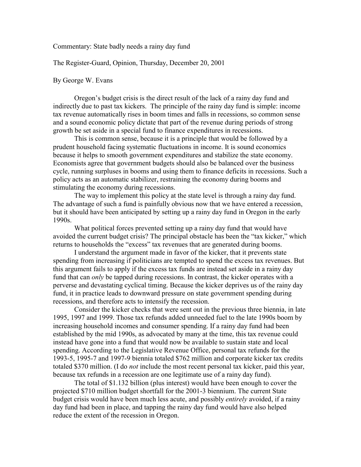Commentary: State badly needs a rainy day fund

The Register-Guard, Opinion, Thursday, December 20, 2001

## By George W. Evans

Oregon's budget crisis is the direct result of the lack of a rainy day fund and indirectly due to past tax kickers. The principle of the rainy day fund is simple: income tax revenue automatically rises in boom times and falls in recessions, so common sense and a sound economic policy dictate that part of the revenue during periods of strong growth be set aside in a special fund to finance expenditures in recessions.

 This is common sense, because it is a principle that would be followed by a prudent household facing systematic fluctuations in income. It is sound economics because it helps to smooth government expenditures and stabilize the state economy. Economists agree that government budgets should also be balanced over the business cycle, running surpluses in booms and using them to finance deficits in recessions. Such a policy acts as an automatic stabilizer, restraining the economy during booms and stimulating the economy during recessions.

The way to implement this policy at the state level is through a rainy day fund. The advantage of such a fund is painfully obvious now that we have entered a recession, but it should have been anticipated by setting up a rainy day fund in Oregon in the early 1990s.

What political forces prevented setting up a rainy day fund that would have avoided the current budget crisis? The principal obstacle has been the "tax kicker," which returns to households the "excess" tax revenues that are generated during booms.

I understand the argument made in favor of the kicker, that it prevents state spending from increasing if politicians are tempted to spend the excess tax revenues. But this argument fails to apply if the excess tax funds are instead set aside in a rainy day fund that can *only* be tapped during recessions. In contrast, the kicker operates with a perverse and devastating cyclical timing. Because the kicker deprives us of the rainy day fund, it in practice leads to downward pressure on state government spending during recessions, and therefore acts to intensify the recession.

Consider the kicker checks that were sent out in the previous three biennia, in late 1995, 1997 and 1999. Those tax refunds added unneeded fuel to the late 1990s boom by increasing household incomes and consumer spending. If a rainy day fund had been established by the mid 1990s, as advocated by many at the time, this tax revenue could instead have gone into a fund that would now be available to sustain state and local spending. According to the Legislative Revenue Office, personal tax refunds for the 1993-5, 1995-7 and 1997-9 biennia totaled \$762 million and corporate kicker tax credits totaled \$370 million. (I do *not* include the most recent personal tax kicker, paid this year, because tax refunds in a recession are one legitimate use of a rainy day fund).

The total of \$1.132 billion (plus interest) would have been enough to cover the projected \$710 million budget shortfall for the 2001-3 biennium. The current State budget crisis would have been much less acute, and possibly *entirely* avoided, if a rainy day fund had been in place, and tapping the rainy day fund would have also helped reduce the extent of the recession in Oregon.